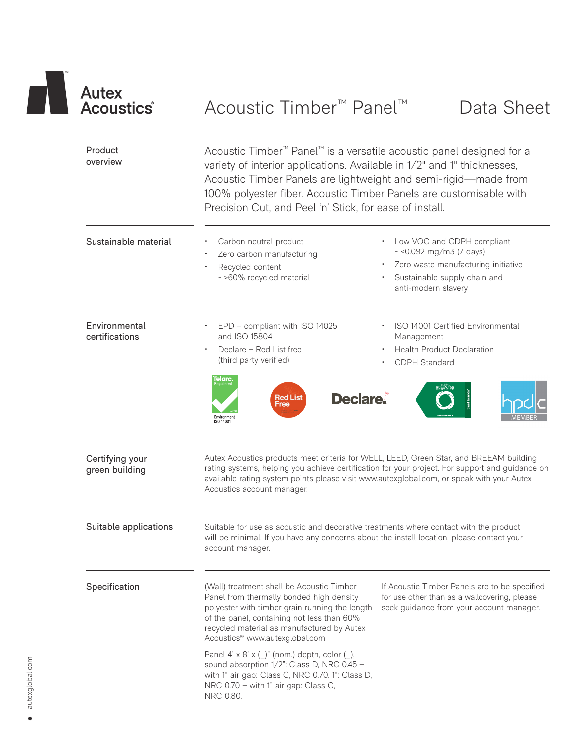

| Product<br>overview               | Acoustic Timber <sup>™</sup> Panel <sup>™</sup> is a versatile acoustic panel designed for a<br>variety of interior applications. Available in 1/2" and 1" thicknesses,<br>Acoustic Timber Panels are lightweight and semi-rigid-made from<br>100% polyester fiber. Acoustic Timber Panels are customisable with<br>Precision Cut, and Peel 'n' Stick, for ease of install. |                                                                                                                                                       |  |  |  |  |  |
|-----------------------------------|-----------------------------------------------------------------------------------------------------------------------------------------------------------------------------------------------------------------------------------------------------------------------------------------------------------------------------------------------------------------------------|-------------------------------------------------------------------------------------------------------------------------------------------------------|--|--|--|--|--|
| Sustainable material              | Carbon neutral product<br>Zero carbon manufacturing<br>Recycled content<br>- >60% recycled material                                                                                                                                                                                                                                                                         | Low VOC and CDPH compliant<br>$-$ <0.092 mg/m3 (7 days)<br>Zero waste manufacturing initiative<br>Sustainable supply chain and<br>anti-modern slavery |  |  |  |  |  |
| Environmental<br>certifications   | EPD - compliant with ISO 14025<br>and ISO 15804<br>Declare - Red List free<br>(third party verified)<br>Telarc.<br><b>Red List</b><br>Free<br>Environment<br>ISO 14001                                                                                                                                                                                                      | ISO 14001 Certified Environmental<br>Management<br><b>Health Product Declaration</b><br>CDPH Standard<br><b>Declare.</b>                              |  |  |  |  |  |
| Certifying your<br>green building | Autex Acoustics products meet criteria for WELL, LEED, Green Star, and BREEAM building<br>rating systems, helping you achieve certification for your project. For support and guidance on<br>available rating system points please visit www.autexglobal.com, or speak with your Autex<br>Acoustics account manager.                                                        |                                                                                                                                                       |  |  |  |  |  |
| Suitable applications             | Suitable for use as acoustic and decorative treatments where contact with the product<br>will be minimal. If you have any concerns about the install location, please contact your<br>account manager.                                                                                                                                                                      |                                                                                                                                                       |  |  |  |  |  |
| Specification                     | (Wall) treatment shall be Acoustic Timber<br>Panel from thermally bonded high density<br>polyester with timber grain running the length<br>of the panel, containing not less than 60%<br>recycled material as manufactured by Autex<br>Acoustics <sup>®</sup> www.autexglobal.com                                                                                           | If Acoustic Timber Panels are to be specified<br>for use other than as a wallcovering, please<br>seek guidance from your account manager.             |  |  |  |  |  |
|                                   | Panel 4' x 8' x $(\_)$ " (nom.) depth, color $(\_)$ ,<br>sound absorption 1/2": Class D, NRC 0.45 -<br>with 1" air gap: Class C, NRC 0.70. 1": Class D,<br>NRC 0.70 - with 1" air gap: Class C,<br>NRC 0.80.                                                                                                                                                                |                                                                                                                                                       |  |  |  |  |  |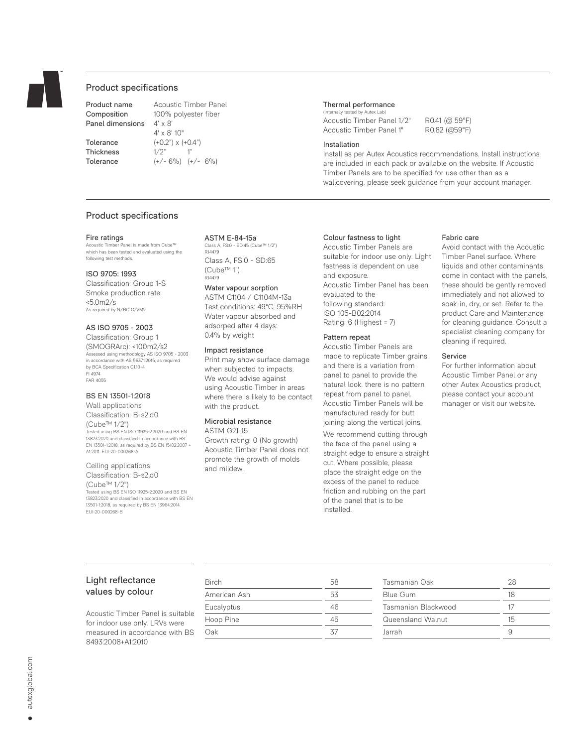

# Product specifications

Product name Acoustic Timber Panel Panel dimensions

Composition 100% polyester fiber<br>Panel dimensions 4' x 8' 4' x 8' 10" Tolerance  $(+0.2") \times (+0.4")$ Thickness 1/2" 1" Tolerance (+/- 6%) (+/- 6%)

### Thermal performance

(Internally tested by Autex Lab) Acoustic Timber Panel 1/2" R0.41 (@ 59°F)<br>Acoustic Timber Panel 1" R0.82 (@59°F) Acoustic Timber Panel 1"

#### Installation

Install as per Autex Acoustics recommendations. Install instructions are included in each pack or available on the website. If Acoustic Timber Panels are to be specified for use other than as a wallcovering, please seek guidance from your account manager.

### Product specifications

#### Fire ratings

Acoustic Timber Panel is made from Cube™ which has been tested and evaluated using the following test methods.

### ISO 9705: 1993

Classification: Group 1-S Smoke production rate:  $< 5.0 m/s$ As required by NZBC C/VM2

# AS ISO 9705 - 2003

Classification: Group 1 (SMOGRArc): <100m2/s2 Assessed using methodology AS ISO 9705 - 2003 in accordance with AS 5637.1:2015, as required by BCA Specification C1.10-4 FI 4974 FAR 4055

#### BS EN 13501-1:2018

Wall applications Classification: B-s2,d0 (Cube™ 1/2") Tested using BS EN ISO 11925-2:2020 and BS EN 13823:2020 and classified in accordance with BS EN 13501-1:2018, as required by BS EN 15102:2007 + A1:2011. EUI-20-000268-A

# Ceiling applications

Classification: B-s2,d0 (Cube™ 1/2") Tested using BS EN ISO 11925-2:2020 and BS EN 13823:2020 and classified in accordance with BS EN 13501-1:2018, as required by BS EN 13964:2014. EUI-20-000268-B

#### ASTM E-84-15a

Class A, FS:0 - SD:45 (Cube™ 1/2") RJ4479 Class A, FS:0 - SD:65 (Cube™ 1") R14479

### Water vapour sorption

ASTM C1104 / C1104M-13a Test conditions: 49°C, 95%RH Water vapour absorbed and adsorped after 4 days: 0.4% by weight

#### Impact resistance

Print may show surface damage when subjected to impacts. We would advise against using Acoustic Timber in areas where there is likely to be contact with the product.

# Microbial resistance

ASTM G21-15 Growth rating: 0 (No growth) Acoustic Timber Panel does not promote the growth of molds and mildew.

### Colour fastness to light

Acoustic Timber Panels are suitable for indoor use only. Light fastness is dependent on use and exposure. Acoustic Timber Panel has been evaluated to the following standard: ISO 105-B02:2014 Rating: 6 (Highest = 7)

#### Pattern repeat

Acoustic Timber Panels are made to replicate Timber grains and there is a variation from panel to panel to provide the natural look. there is no pattern repeat from panel to panel. Acoustic Timber Panels will be manufactured ready for butt joining along the vertical joins.

We recommend cutting through the face of the panel using a straight edge to ensure a straight cut. Where possible, please place the straight edge on the excess of the panel to reduce friction and rubbing on the part of the panel that is to be installed.

#### Fabric care

Avoid contact with the Acoustic Timber Panel surface. Where liquids and other contaminants come in contact with the panels, these should be gently removed immediately and not allowed to soak-in, dry, or set. Refer to the product Care and Maintenance for cleaning guidance. Consult a specialist cleaning company for cleaning if required.

# Service

For further information about Acoustic Timber Panel or any other Autex Acoustics product, please contact your account manager or visit our website.

# Light reflectance values by colour

Acoustic Timber Panel is suitable for indoor use only. LRVs were measured in accordance with BS 8493:2008+A1:2010

| Birch        | 58 |
|--------------|----|
| American Ash | 53 |
| Eucalyptus   | 46 |
| Hoop Pine    | 45 |
| Oak          | 37 |
|              |    |

| Tasmanian Oak       | 28 |
|---------------------|----|
| Blue Gum            | 18 |
| Tasmanian Blackwood | 17 |
| Queensland Walnut   | 15 |
| Jarrah              |    |